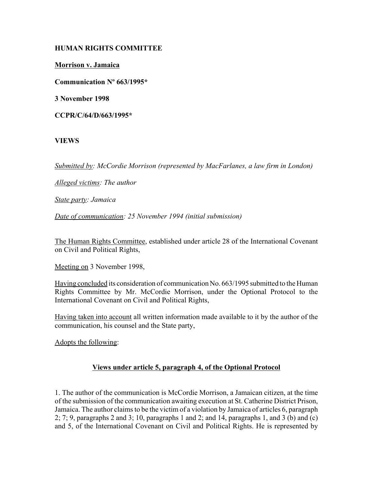### **HUMAN RIGHTS COMMITTEE**

**Morrison v. Jamaica**

**Communication Nº 663/1995\***

**3 November 1998**

**CCPR/C/64/D/663/1995\***

# **VIEWS**

*Submitted by: McCordie Morrison (represented by MacFarlanes, a law firm in London)* 

*Alleged victims: The author* 

*State party: Jamaica* 

*Date of communication: 25 November 1994 (initial submission)* 

The Human Rights Committee, established under article 28 of the International Covenant on Civil and Political Rights,

Meeting on 3 November 1998,

Having concluded its consideration of communication No. 663/1995 submitted to the Human Rights Committee by Mr. McCordie Morrison, under the Optional Protocol to the International Covenant on Civil and Political Rights,

Having taken into account all written information made available to it by the author of the communication, his counsel and the State party,

Adopts the following:

# **Views under article 5, paragraph 4, of the Optional Protocol**

1. The author of the communication is McCordie Morrison, a Jamaican citizen, at the time of the submission of the communication awaiting execution at St. Catherine District Prison, Jamaica. The author claims to be the victim of a violation by Jamaica of articles 6, paragraph  $2; 7; 9$ , paragraphs 2 and 3; 10, paragraphs 1 and 2; and 14, paragraphs 1, and 3 (b) and (c) and 5, of the International Covenant on Civil and Political Rights. He is represented by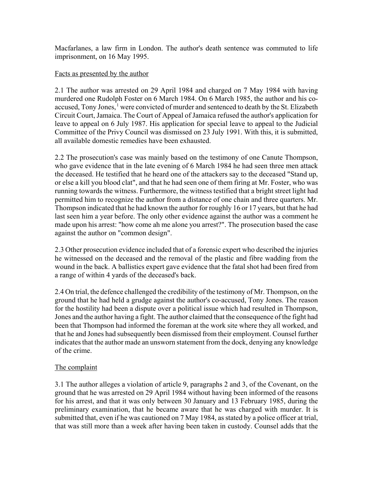Macfarlanes, a law firm in London. The author's death sentence was commuted to life imprisonment, on 16 May 1995.

#### Facts as presented by the author

2.1 The author was arrested on 29 April 1984 and charged on 7 May 1984 with having murdered one Rudolph Foster on 6 March 1984. On 6 March 1985, the author and his coaccused, Tony Jones, <sup>1</sup> were convicted of murder and sentenced to death by the St. Elizabeth Circuit Court, Jamaica. The Court of Appeal of Jamaica refused the author's application for leave to appeal on 6 July 1987. His application for special leave to appeal to the Judicial Committee of the Privy Council was dismissed on 23 July 1991. With this, it is submitted, all available domestic remedies have been exhausted.

2.2 The prosecution's case was mainly based on the testimony of one Canute Thompson, who gave evidence that in the late evening of 6 March 1984 he had seen three men attack the deceased. He testified that he heard one of the attackers say to the deceased "Stand up, or else a kill you blood clat", and that he had seen one of them firing at Mr. Foster, who was running towards the witness. Furthermore, the witness testified that a bright street light had permitted him to recognize the author from a distance of one chain and three quarters. Mr. Thompson indicated that he had known the author for roughly 16 or 17 years, but that he had last seen him a year before. The only other evidence against the author was a comment he made upon his arrest: "how come ah me alone you arrest?". The prosecution based the case against the author on "common design".

2.3 Other prosecution evidence included that of a forensic expert who described the injuries he witnessed on the deceased and the removal of the plastic and fibre wadding from the wound in the back. A ballistics expert gave evidence that the fatal shot had been fired from a range of within 4 yards of the deceased's back.

2.4 On trial, the defence challenged the credibility of the testimony of Mr. Thompson, on the ground that he had held a grudge against the author's co-accused, Tony Jones. The reason for the hostility had been a dispute over a political issue which had resulted in Thompson, Jones and the author having a fight. The author claimed that the consequence of the fight had been that Thompson had informed the foreman at the work site where they all worked, and that he and Jones had subsequently been dismissed from their employment. Counsel further indicates that the author made an unsworn statement from the dock, denying any knowledge of the crime.

# The complaint

3.1 The author alleges a violation of article 9, paragraphs 2 and 3, of the Covenant, on the ground that he was arrested on 29 April 1984 without having been informed of the reasons for his arrest, and that it was only between 30 January and 13 February 1985, during the preliminary examination, that he became aware that he was charged with murder. It is submitted that, even if he was cautioned on 7 May 1984, as stated by a police officer at trial, that was still more than a week after having been taken in custody. Counsel adds that the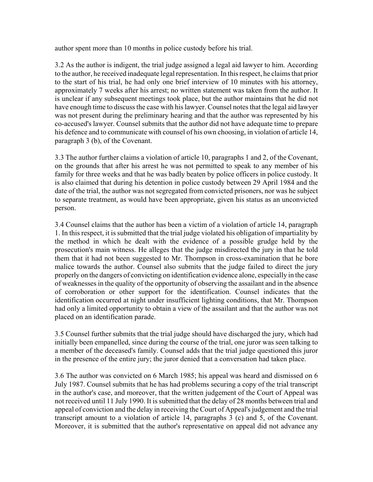author spent more than 10 months in police custody before his trial.

3.2 As the author is indigent, the trial judge assigned a legal aid lawyer to him. According to the author, he received inadequate legal representation. In this respect, he claims that prior to the start of his trial, he had only one brief interview of 10 minutes with his attorney, approximately 7 weeks after his arrest; no written statement was taken from the author. It is unclear if any subsequent meetings took place, but the author maintains that he did not have enough time to discuss the case with his lawyer. Counsel notes that the legal aid lawyer was not present during the preliminary hearing and that the author was represented by his co-accused's lawyer. Counsel submits that the author did not have adequate time to prepare his defence and to communicate with counsel of his own choosing, in violation of article 14, paragraph 3 (b), of the Covenant.

3.3 The author further claims a violation of article 10, paragraphs 1 and 2, of the Covenant, on the grounds that after his arrest he was not permitted to speak to any member of his family for three weeks and that he was badly beaten by police officers in police custody. It is also claimed that during his detention in police custody between 29 April 1984 and the date of the trial, the author was not segregated from convicted prisoners, nor was he subject to separate treatment, as would have been appropriate, given his status as an unconvicted person.

3.4 Counsel claims that the author has been a victim of a violation of article 14, paragraph 1. In this respect, it is submitted that the trial judge violated his obligation of impartiality by the method in which he dealt with the evidence of a possible grudge held by the prosecution's main witness. He alleges that the judge misdirected the jury in that he told them that it had not been suggested to Mr. Thompson in cross-examination that he bore malice towards the author. Counsel also submits that the judge failed to direct the jury properly on the dangers of convicting on identification evidence alone, especially in the case of weaknesses in the quality of the opportunity of observing the assailant and in the absence of corroboration or other support for the identification. Counsel indicates that the identification occurred at night under insufficient lighting conditions, that Mr. Thompson had only a limited opportunity to obtain a view of the assailant and that the author was not placed on an identification parade.

3.5 Counsel further submits that the trial judge should have discharged the jury, which had initially been empanelled, since during the course of the trial, one juror was seen talking to a member of the deceased's family. Counsel adds that the trial judge questioned this juror in the presence of the entire jury; the juror denied that a conversation had taken place.

3.6 The author was convicted on 6 March 1985; his appeal was heard and dismissed on 6 July 1987. Counsel submits that he has had problems securing a copy of the trial transcript in the author's case, and moreover, that the written judgement of the Court of Appeal was not received until 11 July 1990. It is submitted that the delay of 28 months between trial and appeal of conviction and the delay in receiving the Court of Appeal's judgement and the trial transcript amount to a violation of article 14, paragraphs 3 (c) and 5, of the Covenant. Moreover, it is submitted that the author's representative on appeal did not advance any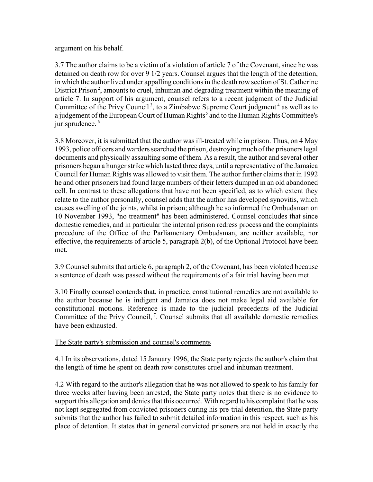#### argument on his behalf.

3.7 The author claims to be a victim of a violation of article 7 of the Covenant, since he was detained on death row for over 9 1/2 years. Counsel argues that the length of the detention, in which the author lived under appalling conditions in the death row section of St. Catherine District Prison<sup>2</sup>, amounts to cruel, inhuman and degrading treatment within the meaning of article 7. In support of his argument, counsel refers to a recent judgment of the Judicial Committee of the Privy Council<sup>3</sup>, to a Zimbabwe Supreme Court judgment<sup>4</sup> as well as to a judgement of the European Court of Human Rights<sup>5</sup> and to the Human Rights Committee's jurisprudence.<sup>6</sup>

3.8 Moreover, it is submitted that the author was ill-treated while in prison. Thus, on 4 May 1993, police officers and warders searched the prison, destroying much of the prisoners legal documents and physically assaulting some of them. As a result, the author and several other prisoners began a hunger strike which lasted three days, until a representative of the Jamaica Council for Human Rights was allowed to visit them. The author further claims that in 1992 he and other prisoners had found large numbers of their letters dumped in an old abandoned cell. In contrast to these allegations that have not been specified, as to which extent they relate to the author personally, counsel adds that the author has developed synovitis, which causes swelling of the joints, whilst in prison; although he so informed the Ombudsman on 10 November 1993, "no treatment" has been administered. Counsel concludes that since domestic remedies, and in particular the internal prison redress process and the complaints procedure of the Office of the Parliamentary Ombudsman, are neither available, nor effective, the requirements of article 5, paragraph 2(b), of the Optional Protocol have been met.

3.9 Counsel submits that article 6, paragraph 2, of the Covenant, has been violated because a sentence of death was passed without the requirements of a fair trial having been met.

3.10 Finally counsel contends that, in practice, constitutional remedies are not available to the author because he is indigent and Jamaica does not make legal aid available for constitutional motions. Reference is made to the judicial precedents of the Judicial Committee of the Privy Council, <sup>7</sup>. Counsel submits that all available domestic remedies have been exhausted.

#### The State party's submission and counsel's comments

4.1 In its observations, dated 15 January 1996, the State party rejects the author's claim that the length of time he spent on death row constitutes cruel and inhuman treatment.

4.2 With regard to the author's allegation that he was not allowed to speak to his family for three weeks after having been arrested, the State party notes that there is no evidence to support this allegation and denies that this occurred. With regard to his complaint that he was not kept segregated from convicted prisoners during his pre-trial detention, the State party submits that the author has failed to submit detailed information in this respect, such as his place of detention. It states that in general convicted prisoners are not held in exactly the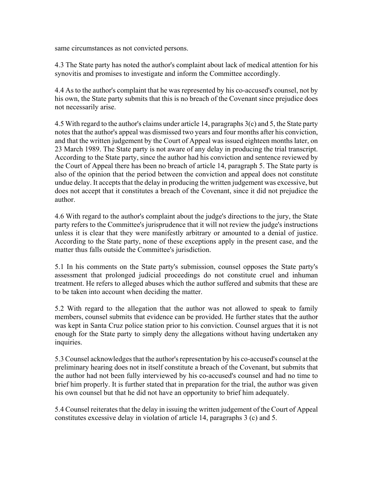same circumstances as not convicted persons.

4.3 The State party has noted the author's complaint about lack of medical attention for his synovitis and promises to investigate and inform the Committee accordingly.

4.4 As to the author's complaint that he was represented by his co-accused's counsel, not by his own, the State party submits that this is no breach of the Covenant since prejudice does not necessarily arise.

4.5 With regard to the author's claims under article 14, paragraphs 3(c) and 5, the State party notes that the author's appeal was dismissed two years and four months after his conviction, and that the written judgement by the Court of Appeal was issued eighteen months later, on 23 March 1989. The State party is not aware of any delay in producing the trial transcript. According to the State party, since the author had his conviction and sentence reviewed by the Court of Appeal there has been no breach of article 14, paragraph 5. The State party is also of the opinion that the period between the conviction and appeal does not constitute undue delay. It accepts that the delay in producing the written judgement was excessive, but does not accept that it constitutes a breach of the Covenant, since it did not prejudice the author.

4.6 With regard to the author's complaint about the judge's directions to the jury, the State party refers to the Committee's jurisprudence that it will not review the judge's instructions unless it is clear that they were manifestly arbitrary or amounted to a denial of justice. According to the State party, none of these exceptions apply in the present case, and the matter thus falls outside the Committee's jurisdiction.

5.1 In his comments on the State party's submission, counsel opposes the State party's assessment that prolonged judicial proceedings do not constitute cruel and inhuman treatment. He refers to alleged abuses which the author suffered and submits that these are to be taken into account when deciding the matter.

5.2 With regard to the allegation that the author was not allowed to speak to family members, counsel submits that evidence can be provided. He further states that the author was kept in Santa Cruz police station prior to his conviction. Counsel argues that it is not enough for the State party to simply deny the allegations without having undertaken any inquiries.

5.3 Counsel acknowledges that the author's representation by his co-accused's counsel at the preliminary hearing does not in itself constitute a breach of the Covenant, but submits that the author had not been fully interviewed by his co-accused's counsel and had no time to brief him properly. It is further stated that in preparation for the trial, the author was given his own counsel but that he did not have an opportunity to brief him adequately.

5.4 Counsel reiterates that the delay in issuing the written judgement of the Court of Appeal constitutes excessive delay in violation of article 14, paragraphs 3 (c) and 5.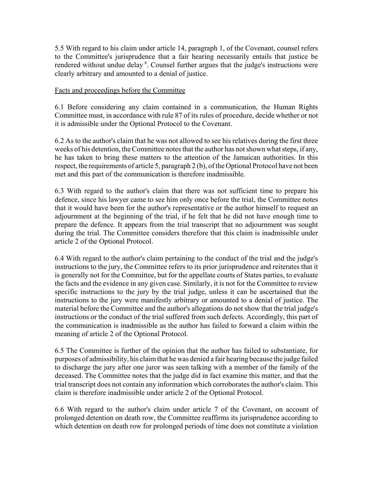5.5 With regard to his claim under article 14, paragraph 1, of the Covenant, counsel refers to the Committee's jurisprudence that a fair hearing necessarily entails that justice be rendered without undue delay<sup>8</sup>. Counsel further argues that the judge's instructions were clearly arbitrary and amounted to a denial of justice.

#### Facts and proceedings before the Committee

6.1 Before considering any claim contained in a communication, the Human Rights Committee must, in accordance with rule 87 of its rules of procedure, decide whether or not it is admissible under the Optional Protocol to the Covenant.

6.2 As to the author's claim that he was not allowed to see his relatives during the first three weeks of his detention, the Committee notes that the author has not shown what steps, if any, he has taken to bring these matters to the attention of the Jamaican authorities. In this respect, the requirements of article 5, paragraph 2 (b), of the Optional Protocol have not been met and this part of the communication is therefore inadmissible.

6.3 With regard to the author's claim that there was not sufficient time to prepare his defence, since his lawyer came to see him only once before the trial, the Committee notes that it would have been for the author's representative or the author himself to request an adjournment at the beginning of the trial, if he felt that he did not have enough time to prepare the defence. It appears from the trial transcript that no adjournment was sought during the trial. The Committee considers therefore that this claim is inadmissible under article 2 of the Optional Protocol.

6.4 With regard to the author's claim pertaining to the conduct of the trial and the judge's instructions to the jury, the Committee refers to its prior jurisprudence and reiterates that it is generally not for the Committee, but for the appellate courts of States parties, to evaluate the facts and the evidence in any given case. Similarly, it is not for the Committee to review specific instructions to the jury by the trial judge, unless it can be ascertained that the instructions to the jury were manifestly arbitrary or amounted to a denial of justice. The material before the Committee and the author's allegations do not show that the trial judge's instructions or the conduct of the trial suffered from such defects. Accordingly, this part of the communication is inadmissible as the author has failed to forward a claim within the meaning of article 2 of the Optional Protocol.

6.5 The Committee is further of the opinion that the author has failed to substantiate, for purposes of admissibility, his claim that he was denied a fair hearing because the judge failed to discharge the jury after one juror was seen talking with a member of the family of the deceased. The Committee notes that the judge did in fact examine this matter, and that the trial transcript does not contain any information which corroborates the author's claim. This claim is therefore inadmissible under article 2 of the Optional Protocol.

6.6 With regard to the author's claim under article 7 of the Covenant, on account of prolonged detention on death row, the Committee reaffirms its jurisprudence according to which detention on death row for prolonged periods of time does not constitute a violation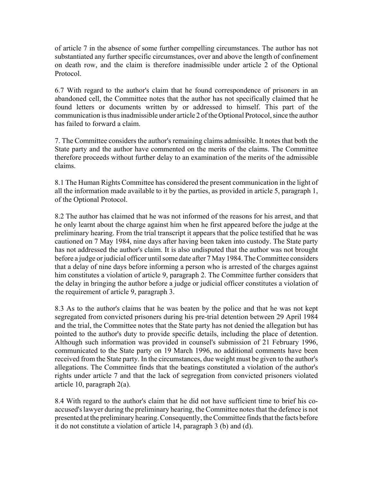of article 7 in the absence of some further compelling circumstances. The author has not substantiated any further specific circumstances, over and above the length of confinement on death row, and the claim is therefore inadmissible under article 2 of the Optional Protocol.

6.7 With regard to the author's claim that he found correspondence of prisoners in an abandoned cell, the Committee notes that the author has not specifically claimed that he found letters or documents written by or addressed to himself. This part of the communication is thus inadmissible under article 2 of the Optional Protocol, since the author has failed to forward a claim.

7. The Committee considers the author's remaining claims admissible. It notes that both the State party and the author have commented on the merits of the claims. The Committee therefore proceeds without further delay to an examination of the merits of the admissible claims.

8.1 The Human Rights Committee has considered the present communication in the light of all the information made available to it by the parties, as provided in article 5, paragraph 1, of the Optional Protocol.

8.2 The author has claimed that he was not informed of the reasons for his arrest, and that he only learnt about the charge against him when he first appeared before the judge at the preliminary hearing. From the trial transcript it appears that the police testified that he was cautioned on 7 May 1984, nine days after having been taken into custody. The State party has not addressed the author's claim. It is also undisputed that the author was not brought before a judge or judicial officer until some date after 7 May 1984. The Committee considers that a delay of nine days before informing a person who is arrested of the charges against him constitutes a violation of article 9, paragraph 2. The Committee further considers that the delay in bringing the author before a judge or judicial officer constitutes a violation of the requirement of article 9, paragraph 3.

8.3 As to the author's claims that he was beaten by the police and that he was not kept segregated from convicted prisoners during his pre-trial detention between 29 April 1984 and the trial, the Committee notes that the State party has not denied the allegation but has pointed to the author's duty to provide specific details, including the place of detention. Although such information was provided in counsel's submission of 21 February 1996, communicated to the State party on 19 March 1996, no additional comments have been received from the State party. In the circumstances, due weight must be given to the author's allegations. The Committee finds that the beatings constituted a violation of the author's rights under article 7 and that the lack of segregation from convicted prisoners violated article 10, paragraph 2(a).

8.4 With regard to the author's claim that he did not have sufficient time to brief his coaccused's lawyer during the preliminary hearing, the Committee notes that the defence is not presented at the preliminary hearing. Consequently, the Committee finds that the facts before it do not constitute a violation of article 14, paragraph 3 (b) and (d).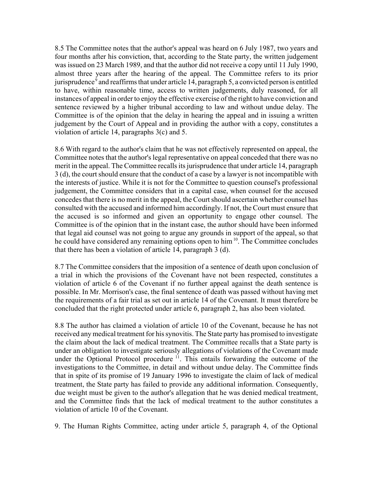8.5 The Committee notes that the author's appeal was heard on 6 July 1987, two years and four months after his conviction, that, according to the State party, the written judgement was issued on 23 March 1989, and that the author did not receive a copy until 11 July 1990, almost three years after the hearing of the appeal. The Committee refers to its prior jurisprudence<sup>9</sup> and reaffirms that under article 14, paragraph 5, a convicted person is entitled to have, within reasonable time, access to written judgements, duly reasoned, for all instances of appeal in order to enjoy the effective exercise of the right to have conviction and sentence reviewed by a higher tribunal according to law and without undue delay. The Committee is of the opinion that the delay in hearing the appeal and in issuing a written judgement by the Court of Appeal and in providing the author with a copy, constitutes a violation of article 14, paragraphs 3(c) and 5.

8.6 With regard to the author's claim that he was not effectively represented on appeal, the Committee notes that the author's legal representative on appeal conceded that there was no merit in the appeal. The Committee recalls its jurisprudence that under article 14, paragraph 3 (d), the court should ensure that the conduct of a case by a lawyer is not incompatible with the interests of justice. While it is not for the Committee to question counsel's professional judgement, the Committee considers that in a capital case, when counsel for the accused concedes that there is no merit in the appeal, the Court should ascertain whether counsel has consulted with the accused and informed him accordingly. If not, the Court must ensure that the accused is so informed and given an opportunity to engage other counsel. The Committee is of the opinion that in the instant case, the author should have been informed that legal aid counsel was not going to argue any grounds in support of the appeal, so that he could have considered any remaining options open to him 10. The Committee concludes that there has been a violation of article 14, paragraph 3 (d).

8.7 The Committee considers that the imposition of a sentence of death upon conclusion of a trial in which the provisions of the Covenant have not been respected, constitutes a violation of article 6 of the Covenant if no further appeal against the death sentence is possible. In Mr. Morrison's case, the final sentence of death was passed without having met the requirements of a fair trial as set out in article 14 of the Covenant. It must therefore be concluded that the right protected under article 6, paragraph 2, has also been violated.

8.8 The author has claimed a violation of article 10 of the Covenant, because he has not received any medical treatment for his synovitis. The State party has promised to investigate the claim about the lack of medical treatment. The Committee recalls that a State party is under an obligation to investigate seriously allegations of violations of the Covenant made under the Optional Protocol procedure  $\frac{1}{1}$ . This entails forwarding the outcome of the investigations to the Committee, in detail and without undue delay. The Committee finds that in spite of its promise of 19 January 1996 to investigate the claim of lack of medical treatment, the State party has failed to provide any additional information. Consequently, due weight must be given to the author's allegation that he was denied medical treatment, and the Committee finds that the lack of medical treatment to the author constitutes a violation of article 10 of the Covenant.

9. The Human Rights Committee, acting under article 5, paragraph 4, of the Optional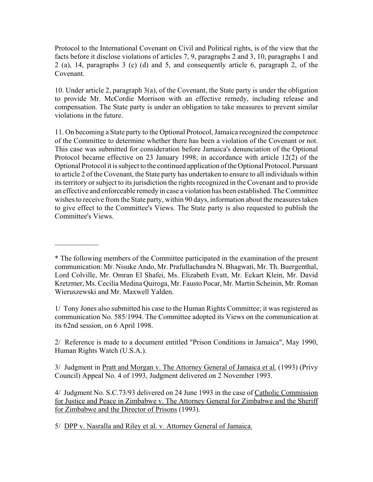Protocol to the International Covenant on Civil and Political rights, is of the view that the facts before it disclose violations of articles 7, 9, paragraphs 2 and 3, 10, paragraphs 1 and 2 (a), 14, paragraphs 3 (c) (d) and 5, and consequently article 6, paragraph 2, of the Covenant.

10. Under article 2, paragraph 3(a), of the Covenant, the State party is under the obligation to provide Mr. McCordie Morrison with an effective remedy, including release and compensation. The State party is under an obligation to take measures to prevent similar violations in the future.

11. On becoming a State party to the Optional Protocol, Jamaica recognized the competence of the Committee to determine whether there has been a violation of the Covenant or not. This case was submitted for consideration before Jamaica's denunciation of the Optional Protocol became effective on 23 January 1998; in accordance with article 12(2) of the Optional Protocol it is subject to the continued application of the Optional Protocol. Pursuant to article 2 of the Covenant, the State party has undertaken to ensure to all individuals within its territory or subject to its jurisdiction the rights recognized in the Covenant and to provide an effective and enforceable remedy in case a violation has been established. The Committee wishes to receive from the State party, within 90 days, information about the measures taken to give effect to the Committee's Views. The State party is also requested to publish the Committee's Views.

1/ Tony Jones also submitted his case to the Human Rights Committee; it was registered as communication No. 585/1994. The Committee adopted its Views on the communication at its 62nd session, on 6 April 1998.

2/ Reference is made to a document entitled "Prison Conditions in Jamaica", May 1990, Human Rights Watch (U.S.A.).

3/ Judgment in Pratt and Morgan v. The Attorney General of Jamaica et al. (1993) (Privy Council) Appeal No. 4 of 1993, Judgment delivered on 2 November 1993.

4/ Judgment No. S.C.73/93 delivered on 24 June 1993 in the case of Catholic Commission for Justice and Peace in Zimbabwe v. The Attorney General for Zimbabwe and the Sheriff for Zimbabwe and the Director of Prisons (1993).

5/ DPP v. Nasralla and Riley et al. v. Attorney General of Jamaica.

 $\frac{1}{2}$ 

<sup>\*</sup> The following members of the Committee participated in the examination of the present communication: Mr. Nisuke Ando, Mr. Prafullachandra N. Bhagwati, Mr. Th. Buergenthal, Lord Colville, Mr. Omran El Shafei, Ms. Elizabeth Evatt, Mr. Eckart Klein, Mr. David Kretzmer, Ms. Cecilia Medina Quiroga, Mr. Fausto Pocar, Mr. Martin Scheinin, Mr. Roman Wieruszewski and Mr. Maxwell Yalden.